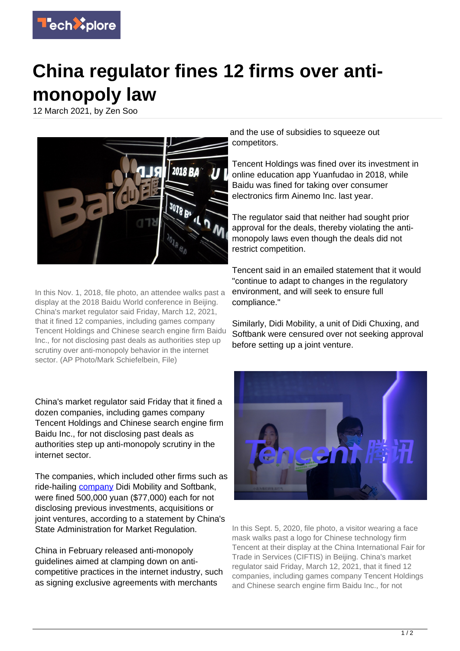

## **China regulator fines 12 firms over antimonopoly law**

12 March 2021, by Zen Soo



In this Nov. 1, 2018, file photo, an attendee walks past a display at the 2018 Baidu World conference in Beijing. China's market regulator said Friday, March 12, 2021, that it fined 12 companies, including games company Tencent Holdings and Chinese search engine firm Baidu Inc., for not disclosing past deals as authorities step up scrutiny over anti-monopoly behavior in the internet sector. (AP Photo/Mark Schiefelbein, File)

China's market regulator said Friday that it fined a dozen companies, including games company Tencent Holdings and Chinese search engine firm Baidu Inc., for not disclosing past deals as authorities step up anti-monopoly scrutiny in the internet sector.

The companies, which included other firms such as ride-hailing [company](https://techxplore.com/tags/company/) Didi Mobility and Softbank, were fined 500,000 yuan (\$77,000) each for not disclosing previous investments, acquisitions or joint ventures, according to a statement by China's State Administration for Market Regulation.

China in February released anti-monopoly guidelines aimed at clamping down on anticompetitive practices in the internet industry, such as signing exclusive agreements with merchants

and the use of subsidies to squeeze out competitors.

Tencent Holdings was fined over its investment in online education app Yuanfudao in 2018, while Baidu was fined for taking over consumer electronics firm Ainemo Inc. last year.

The regulator said that neither had sought prior approval for the deals, thereby violating the antimonopoly laws even though the deals did not restrict competition.

Tencent said in an emailed statement that it would "continue to adapt to changes in the regulatory environment, and will seek to ensure full compliance."

Similarly, Didi Mobility, a unit of Didi Chuxing, and Softbank were censured over not seeking approval before setting up a joint venture.



In this Sept. 5, 2020, file photo, a visitor wearing a face mask walks past a logo for Chinese technology firm Tencent at their display at the China International Fair for Trade in Services (CIFTIS) in Beijing. China's market regulator said Friday, March 12, 2021, that it fined 12 companies, including games company Tencent Holdings and Chinese search engine firm Baidu Inc., for not